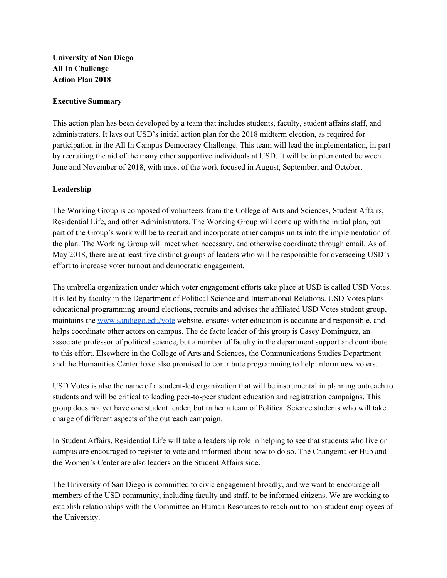# **University of San Diego All In Challenge Action Plan 2018**

## **Executive Summary**

This action plan has been developed by a team that includes students, faculty, student affairs staff, and administrators. It lays out USD's initial action plan for the 2018 midterm election, as required for participation in the All In Campus Democracy Challenge. This team will lead the implementation, in part by recruiting the aid of the many other supportive individuals at USD. It will be implemented between June and November of 2018, with most of the work focused in August, September, and October.

## **Leadership**

The Working Group is composed of volunteers from the College of Arts and Sciences, Student Affairs, Residential Life, and other Administrators. The Working Group will come up with the initial plan, but part of the Group's work will be to recruit and incorporate other campus units into the implementation of the plan. The Working Group will meet when necessary, and otherwise coordinate through email. As of May 2018, there are at least five distinct groups of leaders who will be responsible for overseeing USD's effort to increase voter turnout and democratic engagement.

The umbrella organization under which voter engagement efforts take place at USD is called USD Votes. It is led by faculty in the Department of Political Science and International Relations. USD Votes plans educational programming around elections, recruits and advises the affiliated USD Votes student group, maintains the [www.sandiego.edu/vote](http://www.sandiego.edu/vote) website, ensures voter education is accurate and responsible, and helps coordinate other actors on campus. The de facto leader of this group is Casey Dominguez, an associate professor of political science, but a number of faculty in the department support and contribute to this effort. Elsewhere in the College of Arts and Sciences, the Communications Studies Department and the Humanities Center have also promised to contribute programming to help inform new voters.

USD Votes is also the name of a student-led organization that will be instrumental in planning outreach to students and will be critical to leading peer-to-peer student education and registration campaigns. This group does not yet have one student leader, but rather a team of Political Science students who will take charge of different aspects of the outreach campaign.

In Student Affairs, Residential Life will take a leadership role in helping to see that students who live on campus are encouraged to register to vote and informed about how to do so. The Changemaker Hub and the Women's Center are also leaders on the Student Affairs side.

The University of San Diego is committed to civic engagement broadly, and we want to encourage all members of the USD community, including faculty and staff, to be informed citizens. We are working to establish relationships with the Committee on Human Resources to reach out to non-student employees of the University.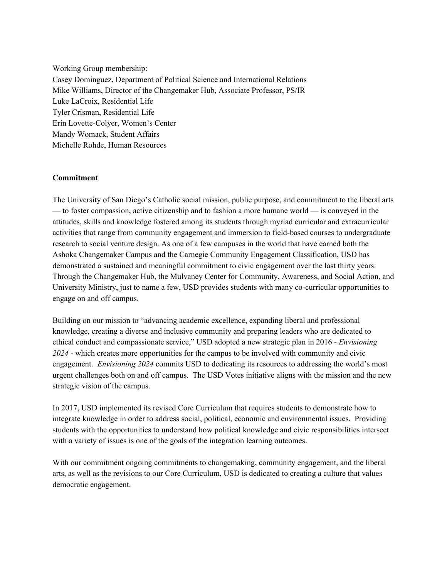Working Group membership: Casey Dominguez, Department of Political Science and International Relations Mike Williams, Director of the Changemaker Hub, Associate Professor, PS/IR Luke LaCroix, Residential Life Tyler Crisman, Residential Life Erin Lovette-Colyer, Women's Center Mandy Womack, Student Affairs Michelle Rohde, Human Resources

## **Commitment**

The University of San Diego's Catholic social mission, public purpose, and commitment to the liberal arts — to foster compassion, active citizenship and to fashion a more humane world — is conveyed in the attitudes, skills and knowledge fostered among its students through myriad curricular and extracurricular activities that range from community engagement and immersion to field-based courses to undergraduate research to social venture design. As one of a few campuses in the world that have earned both the Ashoka Changemaker Campus and the Carnegie Community Engagement Classification, USD has demonstrated a sustained and meaningful commitment to civic engagement over the last thirty years. Through the Changemaker Hub, the Mulvaney Center for Community, Awareness, and Social Action, and University Ministry, just to name a few, USD provides students with many co-curricular opportunities to engage on and off campus.

Building on our mission to "advancing academic excellence, expanding liberal and professional knowledge, creating a diverse and inclusive community and preparing leaders who are dedicated to ethical conduct and compassionate service," USD adopted a new strategic plan in 2016 - *Envisioning 2024* - which creates more opportunities for the campus to be involved with community and civic engagement. *Envisioning 2024* commits USD to dedicating its resources to addressing the world's most urgent challenges both on and off campus. The USD Votes initiative aligns with the mission and the new strategic vision of the campus.

In 2017, USD implemented its revised Core Curriculum that requires students to demonstrate how to integrate knowledge in order to address social, political, economic and environmental issues. Providing students with the opportunities to understand how political knowledge and civic responsibilities intersect with a variety of issues is one of the goals of the integration learning outcomes.

With our commitment ongoing commitments to changemaking, community engagement, and the liberal arts, as well as the revisions to our Core Curriculum, USD is dedicated to creating a culture that values democratic engagement.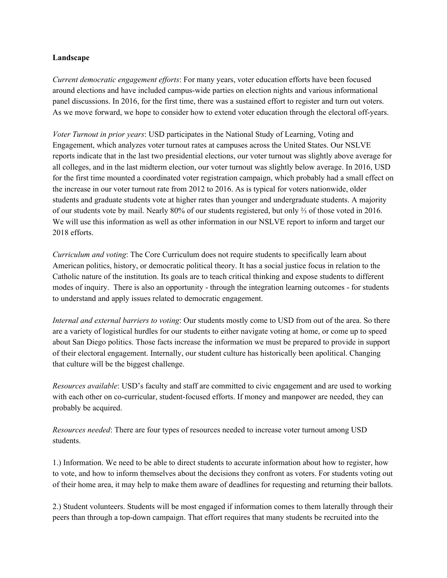## **Landscape**

*Current democratic engagement ef orts*: For many years, voter education efforts have been focused around elections and have included campus-wide parties on election nights and various informational panel discussions. In 2016, for the first time, there was a sustained effort to register and turn out voters. As we move forward, we hope to consider how to extend voter education through the electoral off-years.

*Voter Turnout in prior years*: USD participates in the National Study of Learning, Voting and Engagement, which analyzes voter turnout rates at campuses across the United States. Our NSLVE reports indicate that in the last two presidential elections, our voter turnout was slightly above average for all colleges, and in the last midterm election, our voter turnout was slightly below average. In 2016, USD for the first time mounted a coordinated voter registration campaign, which probably had a small effect on the increase in our voter turnout rate from 2012 to 2016. As is typical for voters nationwide, older students and graduate students vote at higher rates than younger and undergraduate students. A majority of our students vote by mail. Nearly 80% of our students registered, but only ⅔ of those voted in 2016. We will use this information as well as other information in our NSLVE report to inform and target our 2018 efforts.

*Curriculum and voting*: The Core Curriculum does not require students to specifically learn about American politics, history, or democratic political theory. It has a social justice focus in relation to the Catholic nature of the institution. Its goals are to teach critical thinking and expose students to different modes of inquiry. There is also an opportunity - through the integration learning outcomes - for students to understand and apply issues related to democratic engagement.

*Internal and external barriers to voting*: Our students mostly come to USD from out of the area. So there are a variety of logistical hurdles for our students to either navigate voting at home, or come up to speed about San Diego politics. Those facts increase the information we must be prepared to provide in support of their electoral engagement. Internally, our student culture has historically been apolitical. Changing that culture will be the biggest challenge.

*Resources available*: USD's faculty and staff are committed to civic engagement and are used to working with each other on co-curricular, student-focused efforts. If money and manpower are needed, they can probably be acquired.

*Resources needed*: There are four types of resources needed to increase voter turnout among USD students.

1.) Information. We need to be able to direct students to accurate information about how to register, how to vote, and how to inform themselves about the decisions they confront as voters. For students voting out of their home area, it may help to make them aware of deadlines for requesting and returning their ballots.

2.) Student volunteers. Students will be most engaged if information comes to them laterally through their peers than through a top-down campaign. That effort requires that many students be recruited into the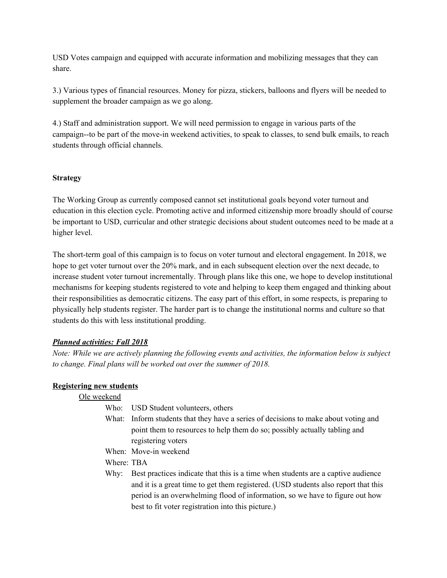USD Votes campaign and equipped with accurate information and mobilizing messages that they can share.

3.) Various types of financial resources. Money for pizza, stickers, balloons and flyers will be needed to supplement the broader campaign as we go along.

4.) Staff and administration support. We will need permission to engage in various parts of the campaign--to be part of the move-in weekend activities, to speak to classes, to send bulk emails, to reach students through official channels.

## **Strategy**

The Working Group as currently composed cannot set institutional goals beyond voter turnout and education in this election cycle. Promoting active and informed citizenship more broadly should of course be important to USD, curricular and other strategic decisions about student outcomes need to be made at a higher level.

The short-term goal of this campaign is to focus on voter turnout and electoral engagement. In 2018, we hope to get voter turnout over the 20% mark, and in each subsequent election over the next decade, to increase student voter turnout incrementally. Through plans like this one, we hope to develop institutional mechanisms for keeping students registered to vote and helping to keep them engaged and thinking about their responsibilities as democratic citizens. The easy part of this effort, in some respects, is preparing to physically help students register. The harder part is to change the institutional norms and culture so that students do this with less institutional prodding.

## *Planned activities: Fall 2018*

*Note: While we are actively planning the following events and activities, the information below is subject to change. Final plans will be worked out over the summer of 2018.*

## **Registering new students**

| Ole weekend |                                                                                                                                                                                                                                                                                                              |
|-------------|--------------------------------------------------------------------------------------------------------------------------------------------------------------------------------------------------------------------------------------------------------------------------------------------------------------|
| Who:        | USD Student volunteers, others                                                                                                                                                                                                                                                                               |
|             | What: Inform students that they have a series of decisions to make about voting and<br>point them to resources to help them do so; possibly actually tabling and<br>registering voters                                                                                                                       |
|             | When: Move-in weekend                                                                                                                                                                                                                                                                                        |
| Where: TBA  |                                                                                                                                                                                                                                                                                                              |
| Why:        | Best practices indicate that this is a time when students are a captive audience<br>and it is a great time to get them registered. (USD students also report that this<br>period is an overwhelming flood of information, so we have to figure out how<br>best to fit voter registration into this picture.) |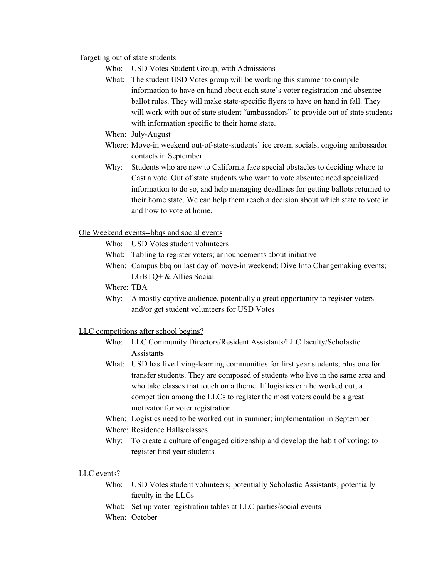### Targeting out of state students

- Who: USD Votes Student Group, with Admissions
- What: The student USD Votes group will be working this summer to compile information to have on hand about each state's voter registration and absentee ballot rules. They will make state-specific flyers to have on hand in fall. They will work with out of state student "ambassadors" to provide out of state students with information specific to their home state.
- When: July-August
- Where: Move-in weekend out-of-state-students' ice cream socials; ongoing ambassador contacts in September
- Why: Students who are new to California face special obstacles to deciding where to Cast a vote. Out of state students who want to vote absentee need specialized information to do so, and help managing deadlines for getting ballots returned to their home state. We can help them reach a decision about which state to vote in and how to vote at home.

## Ole Weekend events--bbqs and social events

- Who: USD Votes student volunteers
- What: Tabling to register voters; announcements about initiative
- When: Campus bbq on last day of move-in weekend; Dive Into Changemaking events; LGBTQ+ & Allies Social

Where: TBA

Why: A mostly captive audience, potentially a great opportunity to register voters and/or get student volunteers for USD Votes

## LLC competitions after school begins?

- Who: LLC Community Directors/Resident Assistants/LLC faculty/Scholastic Assistants
- What: USD has five living-learning communities for first year students, plus one for transfer students. They are composed of students who live in the same area and who take classes that touch on a theme. If logistics can be worked out, a competition among the LLCs to register the most voters could be a great motivator for voter registration.
- When: Logistics need to be worked out in summer; implementation in September
- Where: Residence Halls/classes
- Why: To create a culture of engaged citizenship and develop the habit of voting; to register first year students

## LLC events?

- Who: USD Votes student volunteers; potentially Scholastic Assistants; potentially faculty in the LLCs
- What: Set up voter registration tables at LLC parties/social events
- When: October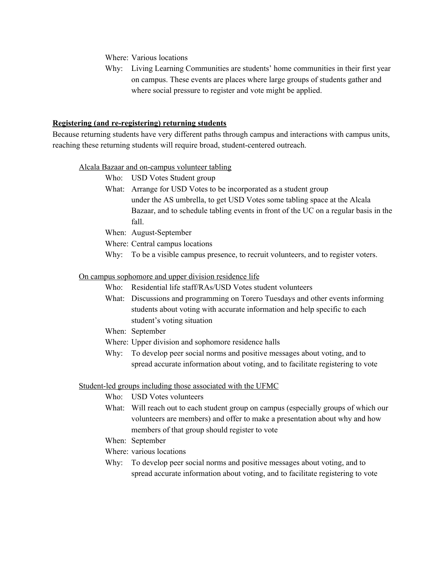Where: Various locations

Why: Living Learning Communities are students' home communities in their first year on campus. These events are places where large groups of students gather and where social pressure to register and vote might be applied.

#### **Registering (and re-registering) returning students**

Because returning students have very different paths through campus and interactions with campus units, reaching these returning students will require broad, student-centered outreach.

#### Alcala Bazaar and on-campus volunteer tabling

- Who: USD Votes Student group
- What: Arrange for USD Votes to be incorporated as a student group under the AS umbrella, to get USD Votes some tabling space at the Alcala Bazaar, and to schedule tabling events in front of the UC on a regular basis in the fall.
- When: August-September
- Where: Central campus locations
- Why: To be a visible campus presence, to recruit volunteers, and to register voters.

### On campus sophomore and upper division residence life

- Who: Residential life staff/RAs/USD Votes student volunteers
- What: Discussions and programming on Torero Tuesdays and other events informing students about voting with accurate information and help specific to each student's voting situation
- When: September
- Where: Upper division and sophomore residence halls
- Why: To develop peer social norms and positive messages about voting, and to spread accurate information about voting, and to facilitate registering to vote

### Student-led groups including those associated with the UFMC

- Who: USD Votes volunteers
- What: Will reach out to each student group on campus (especially groups of which our volunteers are members) and offer to make a presentation about why and how members of that group should register to vote
- When: September
- Where: various locations
- Why: To develop peer social norms and positive messages about voting, and to spread accurate information about voting, and to facilitate registering to vote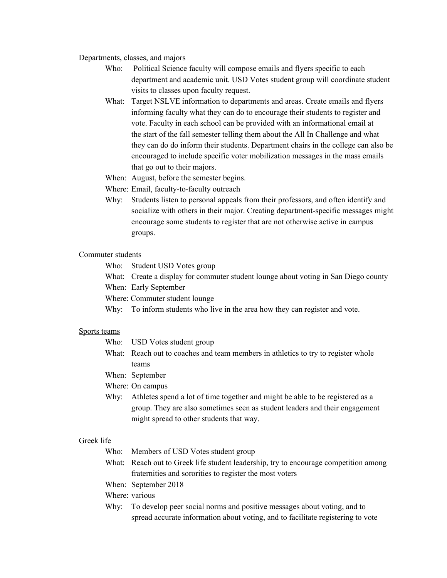#### Departments, classes, and majors

- Who: Political Science faculty will compose emails and flyers specific to each department and academic unit. USD Votes student group will coordinate student visits to classes upon faculty request.
- What: Target NSLVE information to departments and areas. Create emails and flyers informing faculty what they can do to encourage their students to register and vote. Faculty in each school can be provided with an informational email at the start of the fall semester telling them about the All In Challenge and what they can do do inform their students. Department chairs in the college can also be encouraged to include specific voter mobilization messages in the mass emails that go out to their majors.
- When: August, before the semester begins.
- Where: Email, faculty-to-faculty outreach
- Why: Students listen to personal appeals from their professors, and often identify and socialize with others in their major. Creating department-specific messages might encourage some students to register that are not otherwise active in campus groups.

### Commuter students

- Who: Student USD Votes group
- What: Create a display for commuter student lounge about voting in San Diego county
- When: Early September
- Where: Commuter student lounge
- Why: To inform students who live in the area how they can register and vote.

#### Sports teams

- Who: USD Votes student group
- What: Reach out to coaches and team members in athletics to try to register whole teams
- When: September
- Where: On campus
- Why: Athletes spend a lot of time together and might be able to be registered as a group. They are also sometimes seen as student leaders and their engagement might spread to other students that way.

#### Greek life

- Who: Members of USD Votes student group
- What: Reach out to Greek life student leadership, try to encourage competition among fraternities and sororities to register the most voters
- When: September 2018
- Where: various
- Why: To develop peer social norms and positive messages about voting, and to spread accurate information about voting, and to facilitate registering to vote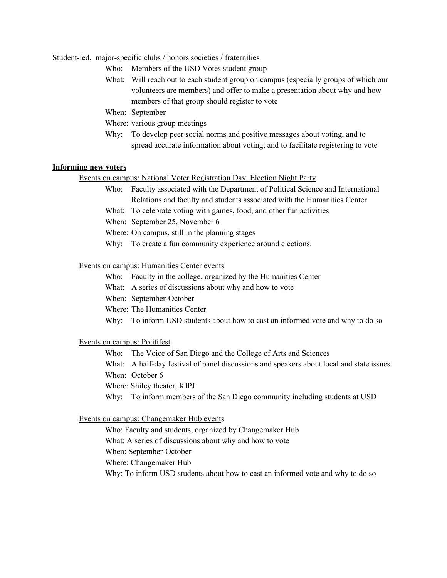## Student-led, major-specific clubs / honors societies / fraternities

- Who: Members of the USD Votes student group
- What: Will reach out to each student group on campus (especially groups of which our volunteers are members) and offer to make a presentation about why and how members of that group should register to vote
- When: September
- Where: various group meetings
- Why: To develop peer social norms and positive messages about voting, and to spread accurate information about voting, and to facilitate registering to vote

#### **Informing new voters**

### Events on campus: National Voter Registration Day, Election Night Party

- Who: Faculty associated with the Department of Political Science and International Relations and faculty and students associated with the Humanities Center
- What: To celebrate voting with games, food, and other fun activities
- When: September 25, November 6
- Where: On campus, still in the planning stages
- Why: To create a fun community experience around elections.

#### Events on campus: Humanities Center events

- Who: Faculty in the college, organized by the Humanities Center
- What: A series of discussions about why and how to vote
- When: September-October
- Where: The Humanities Center
- Why: To inform USD students about how to cast an informed vote and why to do so

#### Events on campus: Politifest

- Who: The Voice of San Diego and the College of Arts and Sciences
- What: A half-day festival of panel discussions and speakers about local and state issues When: October 6
- 
- Where: Shiley theater, KIPJ
- Why: To inform members of the San Diego community including students at USD

#### Events on campus: Changemaker Hub events

Who: Faculty and students, organized by Changemaker Hub What: A series of discussions about why and how to vote When: September-October Where: Changemaker Hub Why: To inform USD students about how to cast an informed vote and why to do so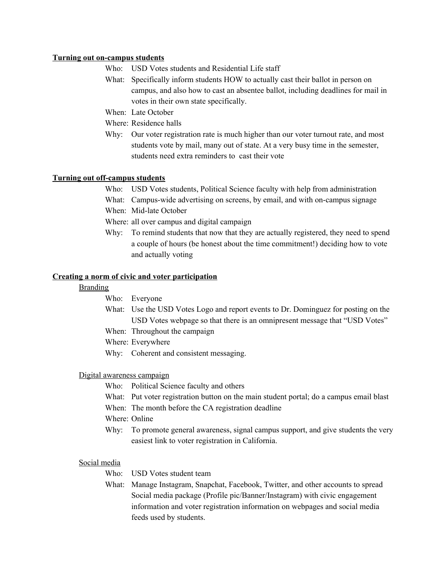### **Turning out on-campus students**

- Who: USD Votes students and Residential Life staff
- What: Specifically inform students HOW to actually cast their ballot in person on campus, and also how to cast an absentee ballot, including deadlines for mail in votes in their own state specifically.
- When: Late October
- Where: Residence halls
- Why: Our voter registration rate is much higher than our voter turnout rate, and most students vote by mail, many out of state. At a very busy time in the semester, students need extra reminders to cast their vote

## **Turning out off-campus students**

- Who: USD Votes students, Political Science faculty with help from administration
- What: Campus-wide advertising on screens, by email, and with on-campus signage
- When: Mid-late October
- Where: all over campus and digital campaign
- Why: To remind students that now that they are actually registered, they need to spend a couple of hours (be honest about the time commitment!) deciding how to vote and actually voting

## **Creating a norm of civic and voter participation**

### Branding

- Who: Everyone
- What: Use the USD Votes Logo and report events to Dr. Dominguez for posting on the USD Votes webpage so that there is an omnipresent message that "USD Votes"
- When: Throughout the campaign
- Where: Everywhere
- Why: Coherent and consistent messaging.

## Digital awareness campaign

- Who: Political Science faculty and others
- What: Put voter registration button on the main student portal; do a campus email blast
- When: The month before the CA registration deadline
- Where: Online
- Why: To promote general awareness, signal campus support, and give students the very easiest link to voter registration in California.

## Social media

- Who: USD Votes student team
- What: Manage Instagram, Snapchat, Facebook, Twitter, and other accounts to spread Social media package (Profile pic/Banner/Instagram) with civic engagement information and voter registration information on webpages and social media feeds used by students.